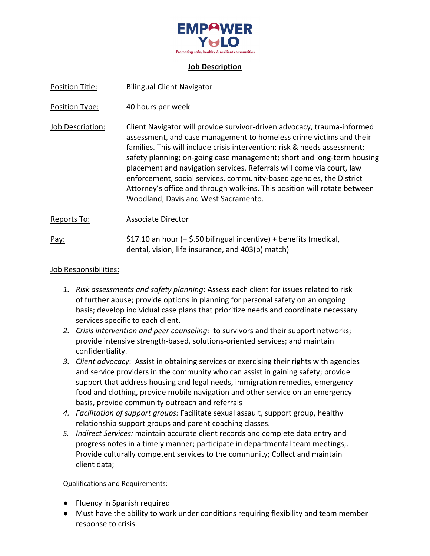

#### **Job Description**

| Position Title:  | <b>Bilingual Client Navigator</b>                                                                                                                                                                                                                                                                                                                                                                                                                                                                                                                                           |
|------------------|-----------------------------------------------------------------------------------------------------------------------------------------------------------------------------------------------------------------------------------------------------------------------------------------------------------------------------------------------------------------------------------------------------------------------------------------------------------------------------------------------------------------------------------------------------------------------------|
| Position Type:   | 40 hours per week                                                                                                                                                                                                                                                                                                                                                                                                                                                                                                                                                           |
| Job Description: | Client Navigator will provide survivor-driven advocacy, trauma-informed<br>assessment, and case management to homeless crime victims and their<br>families. This will include crisis intervention; risk & needs assessment;<br>safety planning; on-going case management; short and long-term housing<br>placement and navigation services. Referrals will come via court, law<br>enforcement, social services, community-based agencies, the District<br>Attorney's office and through walk-ins. This position will rotate between<br>Woodland, Davis and West Sacramento. |
| Reports To:      | Associate Director                                                                                                                                                                                                                                                                                                                                                                                                                                                                                                                                                          |
| Pay:             | \$17.10 an hour $(+$ \$.50 bilingual incentive) + benefits (medical,<br>dental, vision, life insurance, and 403(b) match)                                                                                                                                                                                                                                                                                                                                                                                                                                                   |

### Job Responsibilities:

- *1. Risk assessments and safety planning*: Assess each client for issues related to risk of further abuse; provide options in planning for personal safety on an ongoing basis; develop individual case plans that prioritize needs and coordinate necessary services specific to each client.
- *2. Crisis intervention and peer counseling:* to survivors and their support networks; provide intensive strength‐based, solutions‐oriented services; and maintain confidentiality.
- *3. Client advocacy*: Assist in obtaining services or exercising their rights with agencies and service providers in the community who can assist in gaining safety; provide support that address housing and legal needs, immigration remedies, emergency food and clothing, provide mobile navigation and other service on an emergency basis, provide community outreach and referrals
- *4. Facilitation of support groups:* Facilitate sexual assault, support group, healthy relationship support groups and parent coaching classes.
- *5. Indirect Services:* maintain accurate client records and complete data entry and progress notes in a timely manner; participate in departmental team meetings;. Provide culturally competent services to the community; Collect and maintain client data;

### Qualifications and Requirements:

- Fluency in Spanish required
- Must have the ability to work under conditions requiring flexibility and team member response to crisis.